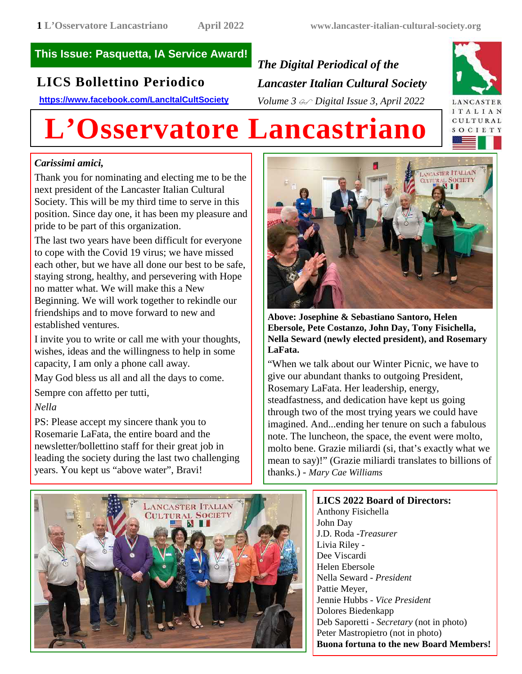## **This Issue: Pasquetta, IA Service Award!**

## **LICS Bollettino Periodico**

**https://www.facebook.com/LancItalCultSociety**

*The Digital Periodical of the Lancaster Italian Cultural Society Volume 3 Digital Issue 3, April 2022*



# **L'Osservatore Lancastriano**

### *Carissimi amici,*

Thank you for nominating and electing me to be the next president of the Lancaster Italian Cultural Society. This will be my third time to serve in this position. Since day one, it has been my pleasure and pride to be part of this organization.

The last two years have been difficult for everyone to cope with the Covid 19 virus; we have missed each other, but we have all done our best to be safe, staying strong, healthy, and persevering with Hope no matter what. We will make this a New Beginning. We will work together to rekindle our friendships and to move forward to new and established ventures.

I invite you to write or call me with your thoughts, wishes, ideas and the willingness to help in some capacity, I am only a phone call away.

May God bless us all and all the days to come.

Sempre con affetto per tutti,

### *Nella*

PS: Please accept my sincere thank you to Rosemarie LaFata, the entire board and the newsletter/bollettino staff for their great job in leading the society during the last two challenging years. You kept us "above water", Bravi!



**Above: Josephine & Sebastiano Santoro, Helen Ebersole, Pete Costanzo, John Day, Tony Fisichella, Nella Seward (newly elected president), and Rosemary LaFata.**

"When we talk about our Winter Picnic, we have to give our abundant thanks to outgoing President, Rosemary LaFata. Her leadership, energy, steadfastness, and dedication have kept us going through two of the most trying years we could have imagined. And...ending her tenure on such a fabulous note. The luncheon, the space, the event were molto, molto bene. Grazie miliardi (si, that's exactly what we mean to say)!" (Grazie miliardi translates to billions of thanks.) - *Mary Cae Williams*



**LICS 2022 Board of Directors:** Anthony Fisichella John Day J.D. Roda -*Treasurer* Livia Riley - Dee Viscardi Helen Ebersole Nella Seward - *President* Pattie Meyer, Jennie Hubbs - *Vice President* Dolores Biedenkapp Deb Saporetti - *Secretary* (not in photo) Peter Mastropietro (not in photo) **Buona fortuna to the new Board Members!**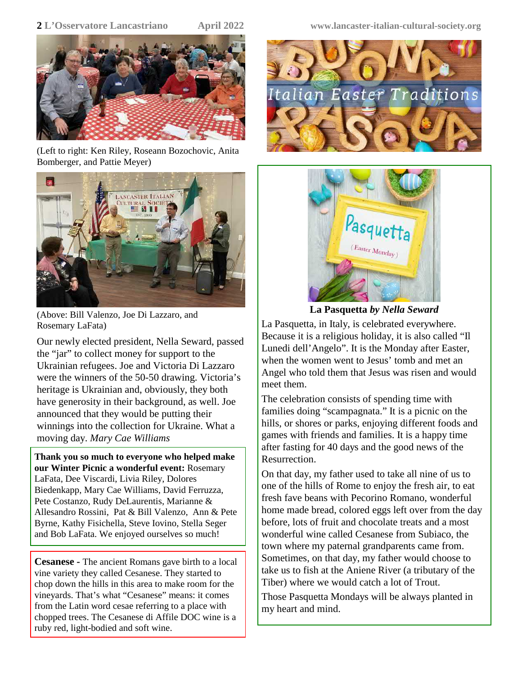

(Left to right: Ken Riley, Roseann Bozochovic, Anita Bomberger, and Pattie Meyer)



(Above: Bill Valenzo, Joe Di Lazzaro, and Rosemary LaFata)

Our newly elected president, Nella Seward, passed the "jar" to collect money for support to the Ukrainian refugees. Joe and Victoria Di Lazzaro were the winners of the 50-50 drawing. Victoria's heritage is Ukrainian and, obviously, they both have generosity in their background, as well. Joe announced that they would be putting their winnings into the collection for Ukraine. What a moving day. *Mary Cae Williams*

**Thank you so much to everyone who helped make our Winter Picnic a wonderful event:** Rosemary LaFata, Dee Viscardi, Livia Riley, Dolores Biedenkapp, Mary Cae Williams, David Ferruzza, Pete Costanzo, Rudy DeLaurentis, Marianne & Allesandro Rossini, Pat & Bill Valenzo, Ann & Pete Byrne, Kathy Fisichella, Steve Iovino, Stella Seger and Bob LaFata. We enjoyed ourselves so much!

**Cesanese -** The ancient Romans gave birth to a local vine variety they called Cesanese. They started to chop down the hills in this area to make room for the vineyards. That's what "Cesanese" means: it comes from the Latin word cesae referring to a place with chopped trees. The Cesanese di Affile DOC wine is a ruby red, light-bodied and soft wine.

**2 L'Osservatore Lancastriano April 2022 www.lancaster-italian-cultural-society.org**





**La Pasquetta** *by Nella Seward*

La Pasquetta, in Italy, is celebrated everywhere. Because it is a religious holiday, it is also called "Il Lunedi dell'Angelo". It is the Monday after Easter, when the women went to Jesus' tomb and met an Angel who told them that Jesus was risen and would meet them.

The celebration consists of spending time with families doing "scampagnata." It is a picnic on the hills, or shores or parks, enjoying different foods and games with friends and families. It is a happy time after fasting for 40 days and the good news of the Resurrection.

On that day, my father used to take all nine of us to one of the hills of Rome to enjoy the fresh air, to eat fresh fave beans with Pecorino Romano, wonderful home made bread, colored eggs left over from the day before, lots of fruit and chocolate treats and a most wonderful wine called Cesanese from Subiaco, the town where my paternal grandparents came from. Sometimes, on that day, my father would choose to take us to fish at the Aniene River (a tributary of the Tiber) where we would catch a lot of Trout.

Those Pasquetta Mondays will be always planted in my heart and mind.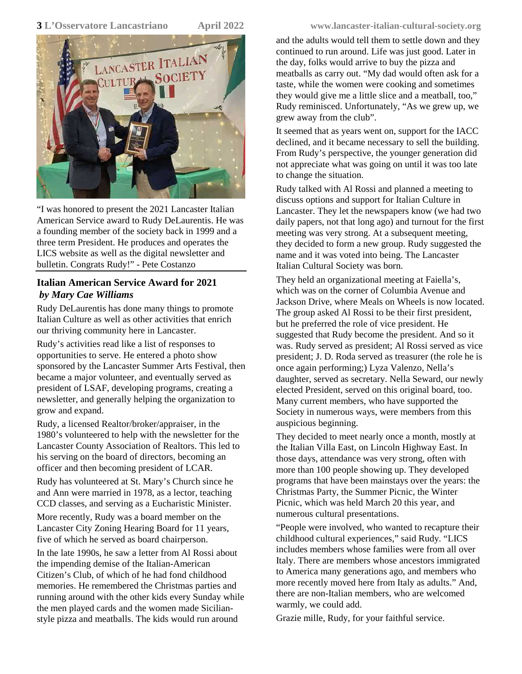

"I was honored to present the 2021 Lancaster Italian American Service award to Rudy DeLaurentis. He was a founding member of the society back in 1999 and a three term President. He produces and operates the LICS website as well as the digital newsletter and bulletin. Congrats Rudy!" - Pete Costanzo

#### **Italian American Service Award for 2021** *by Mary Cae Williams*

Rudy DeLaurentis has done many things to promote Italian Culture as well as other activities that enrich our thriving community here in Lancaster.

Rudy's activities read like a list of responses to opportunities to serve. He entered a photo show sponsored by the Lancaster Summer Arts Festival, then became a major volunteer, and eventually served as president of LSAF, developing programs, creating a newsletter, and generally helping the organization to grow and expand.

Rudy, a licensed Realtor/broker/appraiser, in the 1980's volunteered to help with the newsletter for the Lancaster County Association of Realtors. This led to his serving on the board of directors, becoming an officer and then becoming president of LCAR.

Rudy has volunteered at St. Mary's Church since he and Ann were married in 1978, as a lector, teaching CCD classes, and serving as a Eucharistic Minister.

More recently, Rudy was a board member on the Lancaster City Zoning Hearing Board for 11 years, five of which he served as board chairperson.

In the late 1990s, he saw a letter from Al Rossi about the impending demise of the Italian-American Citizen's Club, of which of he had fond childhood memories. He remembered the Christmas parties and running around with the other kids every Sunday while the men played cards and the women made Sicilianstyle pizza and meatballs. The kids would run around

#### **3 L'Osservatore Lancastriano April 2022 www.lancaster-italian-cultural-society.org**

and the adults would tell them to settle down and they continued to run around. Life was just good. Later in the day, folks would arrive to buy the pizza and meatballs as carry out. "My dad would often ask for a taste, while the women were cooking and sometimes they would give me a little slice and a meatball, too," Rudy reminisced. Unfortunately, "As we grew up, we grew away from the club".

It seemed that as years went on, support for the IACC declined, and it became necessary to sell the building. From Rudy's perspective, the younger generation did not appreciate what was going on until it was too late to change the situation.

Rudy talked with Al Rossi and planned a meeting to discuss options and support for Italian Culture in Lancaster. They let the newspapers know (we had two daily papers, not that long ago) and turnout for the first meeting was very strong. At a subsequent meeting, they decided to form a new group. Rudy suggested the name and it was voted into being. The Lancaster Italian Cultural Society was born.

They held an organizational meeting at Faiella's, which was on the corner of Columbia Avenue and Jackson Drive, where Meals on Wheels is now located. The group asked Al Rossi to be their first president, but he preferred the role of vice president. He suggested that Rudy become the president. And so it was. Rudy served as president; Al Rossi served as vice president; J. D. Roda served as treasurer (the role he is once again performing;) Lyza Valenzo, Nella's daughter, served as secretary. Nella Seward, our newly elected President, served on this original board, too. Many current members, who have supported the Society in numerous ways, were members from this auspicious beginning.

They decided to meet nearly once a month, mostly at the Italian Villa East, on Lincoln Highway East. In those days, attendance was very strong, often with more than 100 people showing up. They developed programs that have been mainstays over the years: the Christmas Party, the Summer Picnic, the Winter Picnic, which was held March 20 this year, and numerous cultural presentations.

"People were involved, who wanted to recapture their childhood cultural experiences," said Rudy. "LICS includes members whose families were from all over Italy. There are members whose ancestors immigrated to America many generations ago, and members who more recently moved here from Italy as adults." And, there are non-Italian members, who are welcomed warmly, we could add.

Grazie mille, Rudy, for your faithful service.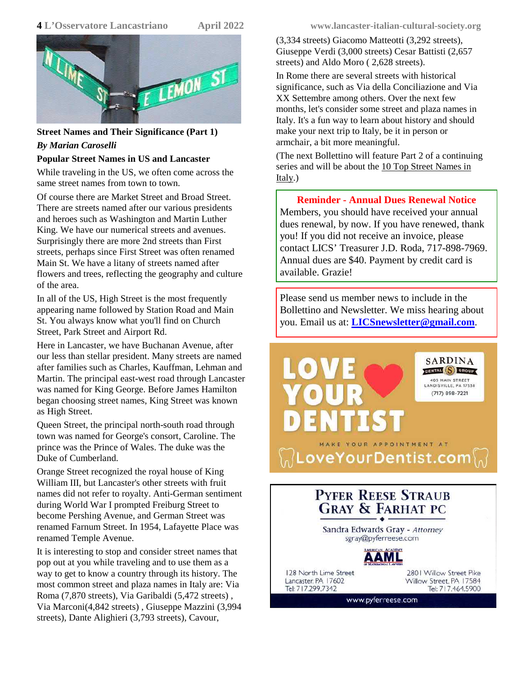

#### **Street Names and Their Significance (Part 1)** *By Marian Caroselli*

#### **Popular Street Names in US and Lancaster**

While traveling in the US, we often come across the same street names from town to town.

Of course there are Market Street and Broad Street. There are streets named after our various presidents and heroes such as Washington and Martin Luther King. We have our numerical streets and avenues. Surprisingly there are more 2nd streets than First streets, perhaps since First Street was often renamed Main St. We have a litany of streets named after flowers and trees, reflecting the geography and culture of the area.

In all of the US, High Street is the most frequently appearing name followed by Station Road and Main St. You always know what you'll find on Church Street, Park Street and Airport Rd.

Here in Lancaster, we have Buchanan Avenue, after our less than stellar president. Many streets are named after families such as Charles, Kauffman, Lehman and Martin. The principal east-west road through Lancaster was named for King George. Before James Hamilton began choosing street names, King Street was known as High Street.

Queen Street, the principal north-south road through town was named for George's consort, Caroline. The prince was the Prince of Wales. The duke was the Duke of Cumberland.

Orange Street recognized the royal house of King William III, but Lancaster's other streets with fruit names did not refer to royalty. Anti-German sentiment during World War I prompted Freiburg Street to become Pershing Avenue, and German Street was renamed Farnum Street. In 1954, Lafayette Place was renamed Temple Avenue.

It is interesting to stop and consider street names that pop out at you while traveling and to use them as a way to get to know a country through its history. The most common street and plaza names in Italy are: Via Roma (7,870 streets), Via Garibaldi (5,472 streets) , Via Marconi(4,842 streets) , Giuseppe Mazzini (3,994 streets), Dante Alighieri (3,793 streets), Cavour,

**4 L'Osservatore Lancastriano April 2022 www.lancaster-italian-cultural-society.org**

(3,334 streets) Giacomo Matteotti (3,292 streets), Giuseppe Verdi (3,000 streets) Cesar Battisti (2,657 streets) and Aldo Moro ( 2,628 streets).

In Rome there are several streets with historical significance, such as Via della Conciliazione and Via XX Settembre among others. Over the next few months, let's consider some street and plaza names in Italy. It's a fun way to learn about history and should make your next trip to Italy, be it in person or armchair, a bit more meaningful.

(The next Bollettino will feature Part 2 of a continuing series and will be about the 10 Top Street Names in Italy.)

#### **Reminder - Annual Dues Renewal Notice**

Members, you should have received your annual dues renewal, by now. If you have renewed, thank you! If you did not receive an invoice, please contact LICS' Treasurer J.D. Roda, 717-898-7969. Annual dues are \$40. Payment by credit card is available. Grazie!

Please send us member news to include in the Bollettino and Newsletter. We miss hearing about you. Email us at: **LICSnewsletter@gmail.com**.